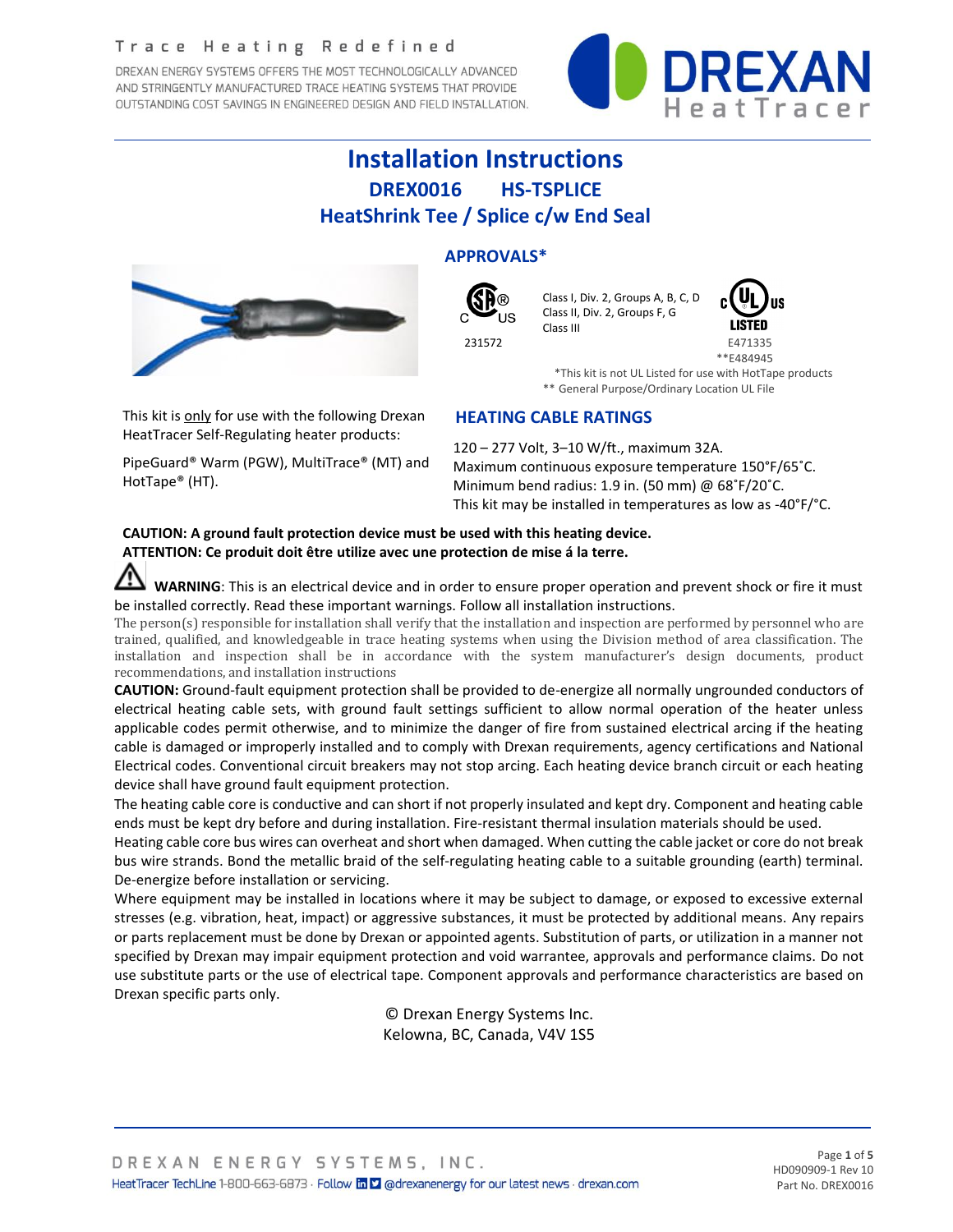#### Trace Heating Redefined

DREXAN ENERGY SYSTEMS OFFERS THE MOST TECHNOLOGICALLY ADVANCED AND STRINGENTLY MANUFACTURED TRACE HEATING SYSTEMS THAT PROVIDE OUTSTANDING COST SAVINGS IN ENGINEERED DESIGN AND FIELD INSTALLATION.



# **Installation Instructions DREX0016 HS-TSPLICE HeatShrink Tee / Splice c/w End Seal**



This kit is only for use with the following Drexan HeatTracer Self-Regulating heater products:

PipeGuard® Warm (PGW), MultiTrace® (MT) and HotTape® (HT).

# **APPROVALS\***



 Class I, Div. 2, Groups A, B, C, D Class II, Div. 2, Groups F, G Class III



\*\*E484945

 \*This kit is not UL Listed for use with HotTape products \*\* General Purpose/Ordinary Location UL File

## **HEATING CABLE RATINGS**

120 – 277 Volt, 3–10 W/ft., maximum 32A. Maximum continuous exposure temperature 150°F/65˚C. Minimum bend radius: 1.9 in. (50 mm) @ 68˚F/20˚C. This kit may be installed in temperatures as low as -40°F/°C.

### **CAUTION: A ground fault protection device must be used with this heating device. ATTENTION: Ce produit doit être utilize avec une protection de mise á la terre.**

 **WARNING**: This is an electrical device and in order to ensure proper operation and prevent shock or fire it must be installed correctly. Read these important warnings. Follow all installation instructions.

The person(s) responsible for installation shall verify that the installation and inspection are performed by personnel who are trained, qualified, and knowledgeable in trace heating systems when using the Division method of area classification. The installation and inspection shall be in accordance with the system manufacturer's design documents, product recommendations, and installation instructions

**CAUTION:** Ground-fault equipment protection shall be provided to de-energize all normally ungrounded conductors of electrical heating cable sets, with ground fault settings sufficient to allow normal operation of the heater unless applicable codes permit otherwise, and to minimize the danger of fire from sustained electrical arcing if the heating cable is damaged or improperly installed and to comply with Drexan requirements, agency certifications and National Electrical codes. Conventional circuit breakers may not stop arcing. Each heating device branch circuit or each heating device shall have ground fault equipment protection.

The heating cable core is conductive and can short if not properly insulated and kept dry. Component and heating cable ends must be kept dry before and during installation. Fire-resistant thermal insulation materials should be used.

Heating cable core bus wires can overheat and short when damaged. When cutting the cable jacket or core do not break bus wire strands. Bond the metallic braid of the self-regulating heating cable to a suitable grounding (earth) terminal. De-energize before installation or servicing.

Where equipment may be installed in locations where it may be subject to damage, or exposed to excessive external stresses (e.g. vibration, heat, impact) or aggressive substances, it must be protected by additional means. Any repairs or parts replacement must be done by Drexan or appointed agents. Substitution of parts, or utilization in a manner not specified by Drexan may impair equipment protection and void warrantee, approvals and performance claims. Do not use substitute parts or the use of electrical tape. Component approvals and performance characteristics are based on Drexan specific parts only.

> © Drexan Energy Systems Inc. Kelowna, BC, Canada, V4V 1S5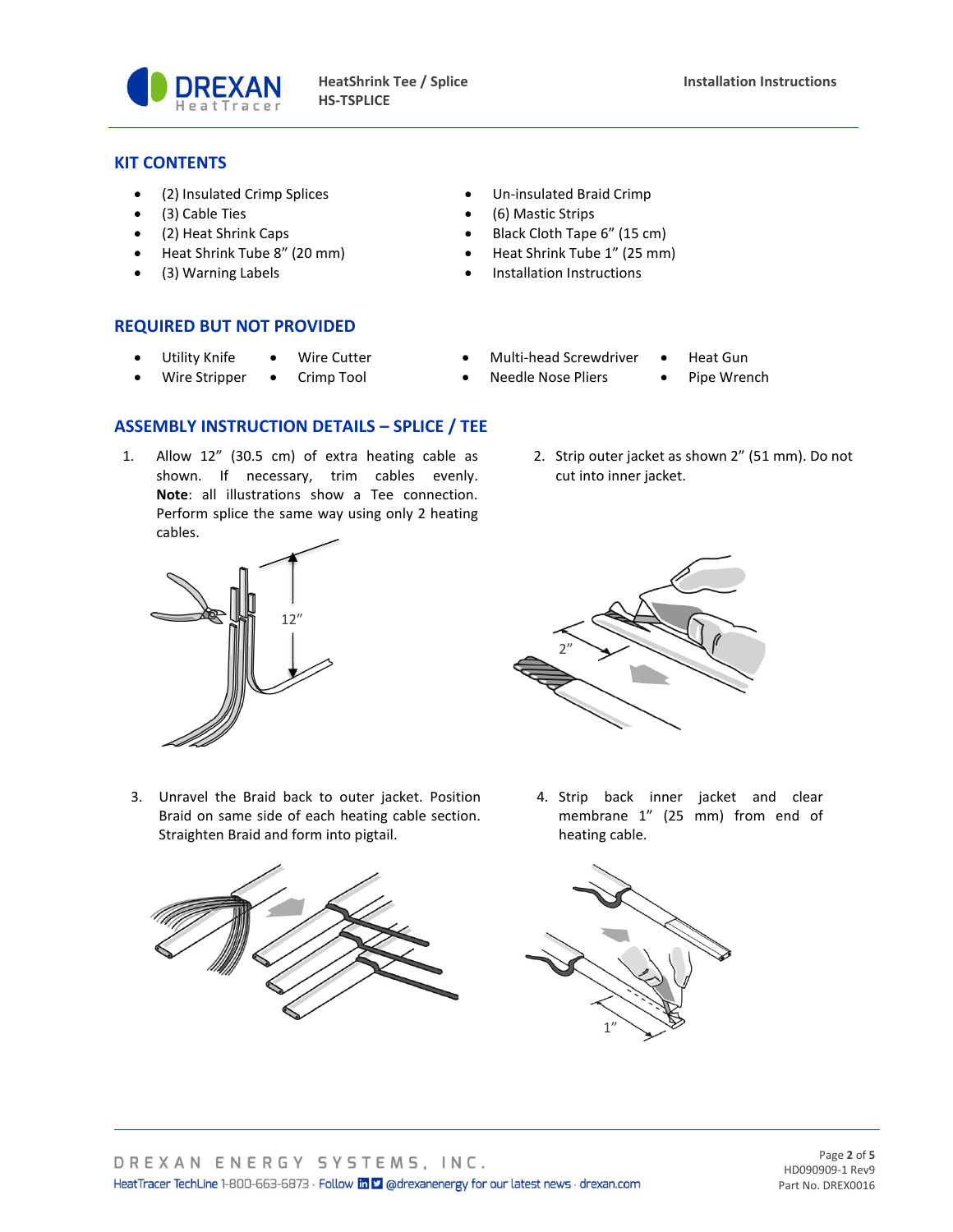

### **KIT CONTENTS**

- (2) Insulated Crimp Splices Un-insulated Braid Crimp
- 
- 
- Heat Shrink Tube 8" (20 mm) Heat Shrink Tube 1" (25 mm)
- 
- 
- (3) Cable Ties (6) Mastic Strips
- (2) Heat Shrink Caps Black Cloth Tape 6" (15 cm)
	-
- (3) Warning Labels Installation Instructions

#### **REQUIRED BUT NOT PROVIDED**

- Utility Knife Wire Cutter Multi-head Screwdriver Heat Gun
- Wire Stripper Crimp Tool Needle Nose Pliers Pipe Wrench
- 
- 
- 
- 

# **ASSEMBLY INSTRUCTION DETAILS – SPLICE / TEE**

1. Allow 12" (30.5 cm) of extra heating cable as shown. If necessary, trim cables evenly. **Note**: all illustrations show a Tee connection. Perform splice the same way using only 2 heating cables.





3. Unravel the Braid back to outer jacket. Position Braid on same side of each heating cable section. Straighten Braid and form into pigtail.





4. Strip back inner jacket and clear membrane 1" (25 mm) from end of heating cable.



Page **2** of **5** HD090909-1 Rev9 Part No. DREX0016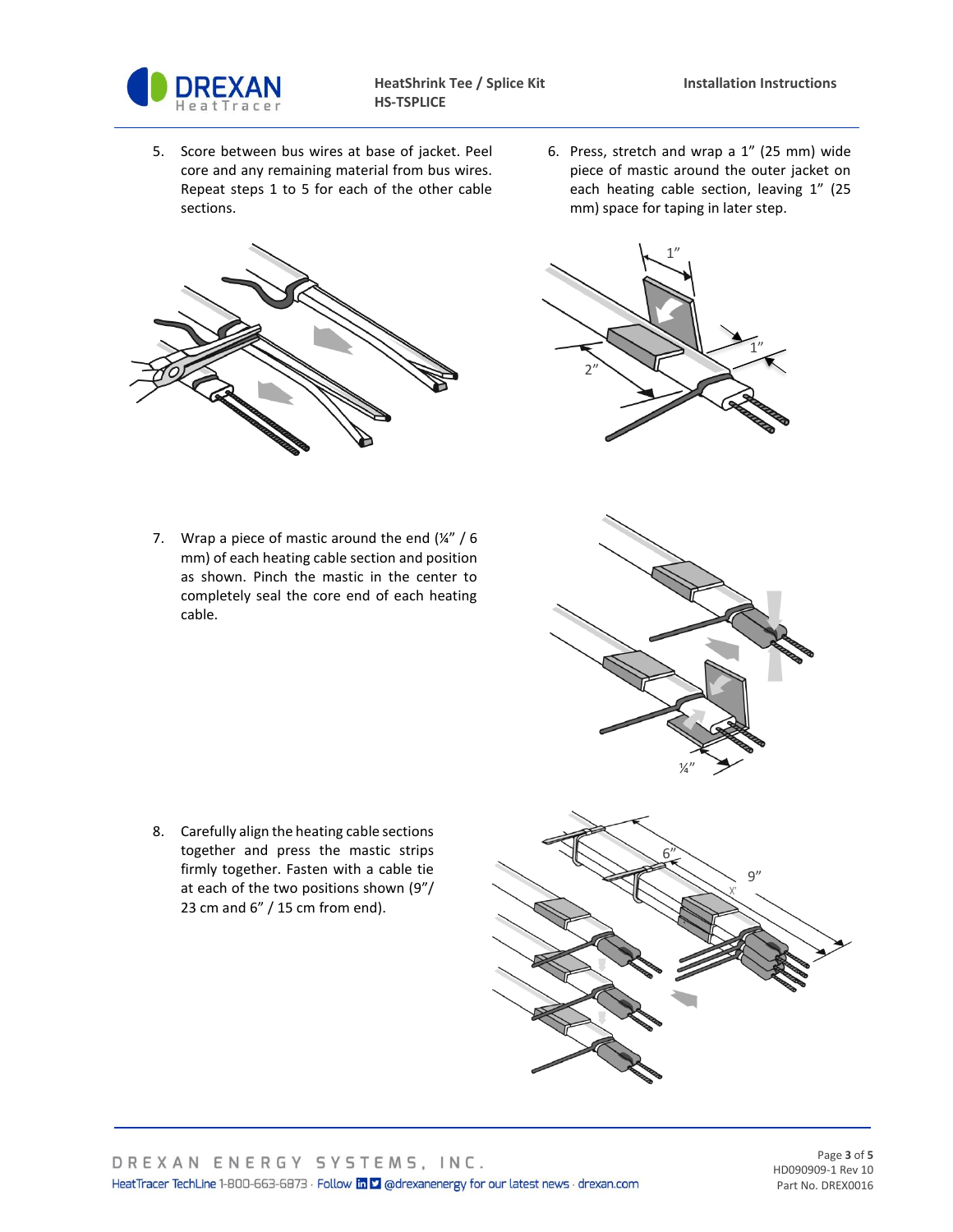

5. Score between bus wires at base of jacket. Peel core and any remaining material from bus wires. Repeat steps 1 to 5 for each of the other cable sections.



7. Wrap a piece of mastic around the end  $(\frac{1}{4})$  / 6 mm) of each heating cable section and position as shown. Pinch the mastic in the center to completely seal the core end of each heating cable.

8. Carefully align the heating cable sections together and press the mastic strips firmly together. Fasten with a cable tie at each of the two positions shown (9"/ 23 cm and 6" / 15 cm from end).

6. Press, stretch and wrap a 1" (25 mm) wide piece of mastic around the outer jacket on each heating cable section, leaving 1" (25 mm) space for taping in later step.







Page **3** of **5** HD090909-1 Rev 10 Part No. DREX0016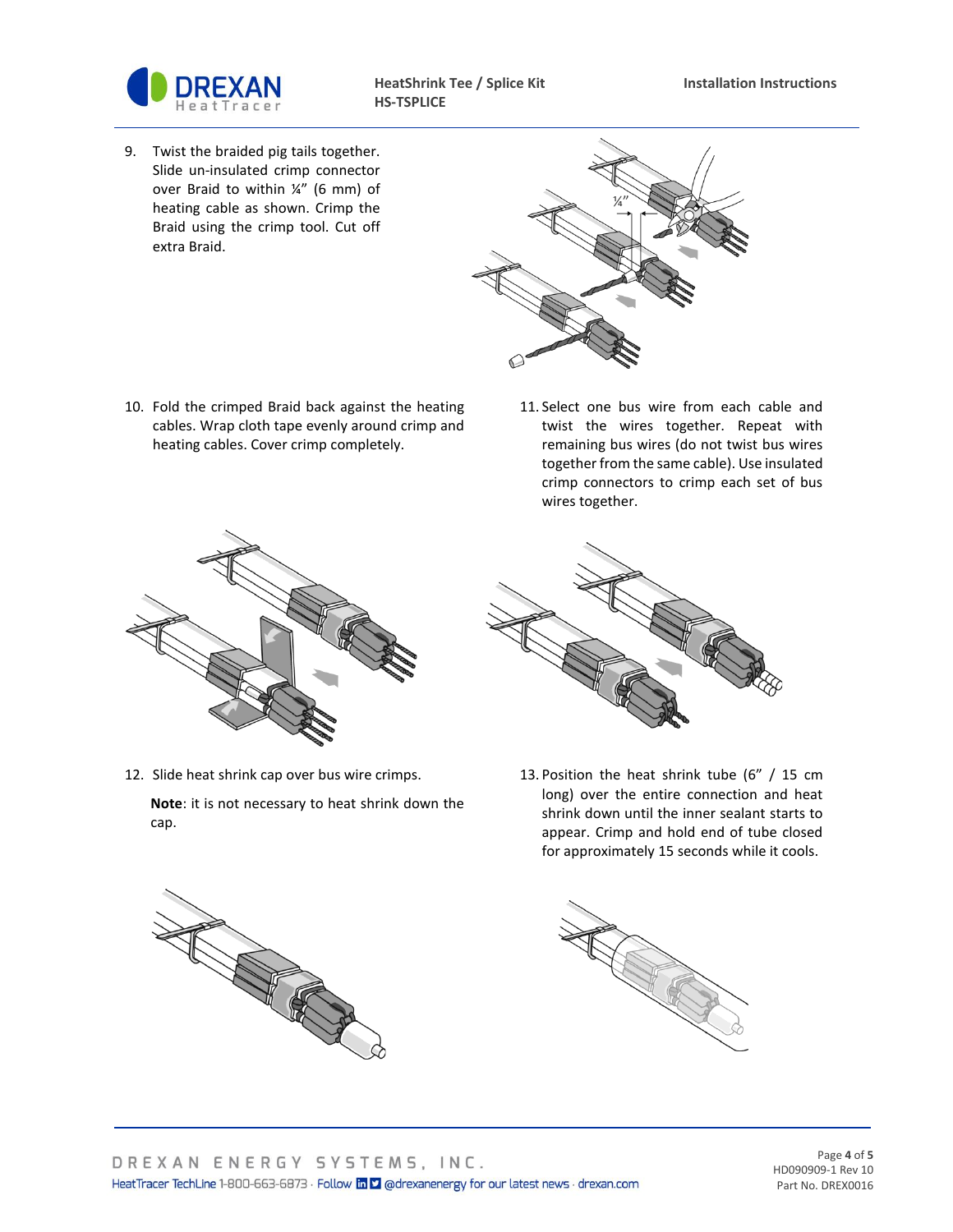

**HeatShrink Tee / Splice Kit Installation Instructions HS-TSPLICE**

9. Twist the braided pig tails together. Slide un-insulated crimp connector over Braid to within ¼" (6 mm) of heating cable as shown. Crimp the Braid using the crimp tool. Cut off extra Braid.



- 10. Fold the crimped Braid back against the heating cables. Wrap cloth tape evenly around crimp and heating cables. Cover crimp completely.
- 11. Select one bus wire from each cable and twist the wires together. Repeat with remaining bus wires (do not twist bus wires together from the same cable). Use insulated crimp connectors to crimp each set of bus wires together.



12. Slide heat shrink cap over bus wire crimps.

**Note**: it is not necessary to heat shrink down the cap.



13. Position the heat shrink tube (6" / 15 cm long) over the entire connection and heat shrink down until the inner sealant starts to appear. Crimp and hold end of tube closed for approximately 15 seconds while it cools.





Page **4** of **5** HD090909-1 Rev 10 Part No. DREX0016